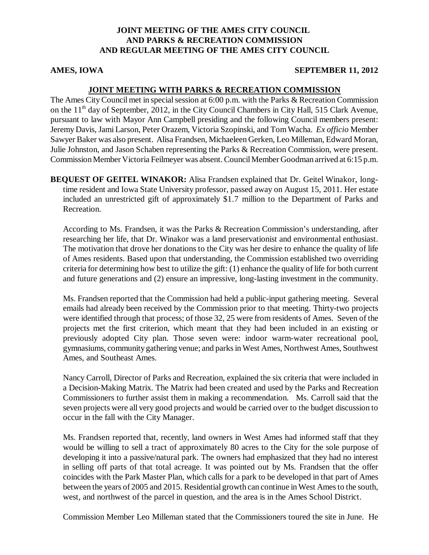## **JOINT MEETING OF THE AMES CITY COUNCIL AND PARKS & RECREATION COMMISSION AND REGULAR MEETING OF THE AMES CITY COUNCIL**

#### **AMES, IOWA SEPTEMBER 11, 2012**

# **JOINT MEETING WITH PARKS & RECREATION COMMISSION**

The Ames City Council met in special session at 6:00 p.m. with the Parks & Recreation Commission on the  $11<sup>th</sup>$  day of September, 2012, in the City Council Chambers in City Hall, 515 Clark Avenue, pursuant to law with Mayor Ann Campbell presiding and the following Council members present: Jeremy Davis, Jami Larson, Peter Orazem, Victoria Szopinski, and Tom Wacha. *Ex officio* Member Sawyer Baker was also present. Alisa Frandsen, Michaeleen Gerken, Leo Milleman, Edward Moran, Julie Johnston, and Jason Schaben representing the Parks & Recreation Commission, were present. Commission Member Victoria Feilmeyer was absent. Council Member Goodman arrived at 6:15 p.m.

**BEQUEST OF GEITEL WINAKOR:** Alisa Frandsen explained that Dr. Geitel Winakor, longtime resident and Iowa State University professor, passed away on August 15, 2011. Her estate included an unrestricted gift of approximately \$1.7 million to the Department of Parks and Recreation.

According to Ms. Frandsen, it was the Parks & Recreation Commission's understanding, after researching her life, that Dr. Winakor was a land preservationist and environmental enthusiast. The motivation that drove her donations to the City was her desire to enhance the quality of life of Ames residents. Based upon that understanding, the Commission established two overriding criteria for determining how best to utilize the gift: (1) enhance the quality of life for both current and future generations and (2) ensure an impressive, long-lasting investment in the community.

Ms. Frandsen reported that the Commission had held a public-input gathering meeting. Several emails had already been received by the Commission prior to that meeting. Thirty-two projects were identified through that process; of those 32, 25 were from residents of Ames. Seven of the projects met the first criterion, which meant that they had been included in an existing or previously adopted City plan. Those seven were: indoor warm-water recreational pool, gymnasiums, community gathering venue; and parks in West Ames, Northwest Ames, Southwest Ames, and Southeast Ames.

Nancy Carroll, Director of Parks and Recreation, explained the six criteria that were included in a Decision-Making Matrix. The Matrix had been created and used by the Parks and Recreation Commissioners to further assist them in making a recommendation. Ms. Carroll said that the seven projects were all very good projects and would be carried over to the budget discussion to occur in the fall with the City Manager.

Ms. Frandsen reported that, recently, land owners in West Ames had informed staff that they would be willing to sell a tract of approximately 80 acres to the City for the sole purpose of developing it into a passive/natural park. The owners had emphasized that they had no interest in selling off parts of that total acreage. It was pointed out by Ms. Frandsen that the offer coincides with the Park Master Plan, which calls for a park to be developed in that part of Ames between the years of 2005 and 2015. Residential growth can continue in West Ames to the south, west, and northwest of the parcel in question, and the area is in the Ames School District.

Commission Member Leo Milleman stated that the Commissioners toured the site in June. He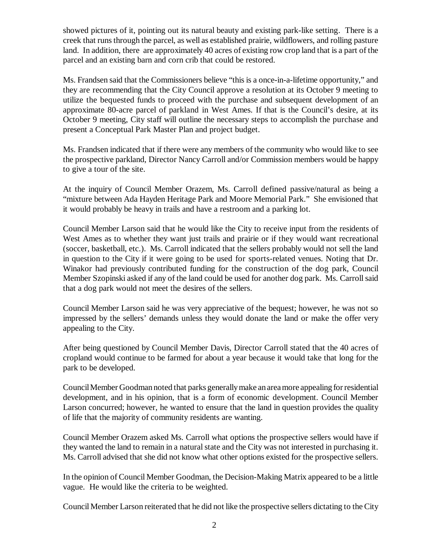showed pictures of it, pointing out its natural beauty and existing park-like setting. There is a creek that runs through the parcel, as well as established prairie, wildflowers, and rolling pasture land. In addition, there are approximately 40 acres of existing row crop land that is a part of the parcel and an existing barn and corn crib that could be restored.

Ms. Frandsen said that the Commissioners believe "this is a once-in-a-lifetime opportunity," and they are recommending that the City Council approve a resolution at its October 9 meeting to utilize the bequested funds to proceed with the purchase and subsequent development of an approximate 80-acre parcel of parkland in West Ames. If that is the Council's desire, at its October 9 meeting, City staff will outline the necessary steps to accomplish the purchase and present a Conceptual Park Master Plan and project budget.

Ms. Frandsen indicated that if there were any members of the community who would like to see the prospective parkland, Director Nancy Carroll and/or Commission members would be happy to give a tour of the site.

At the inquiry of Council Member Orazem, Ms. Carroll defined passive/natural as being a "mixture between Ada Hayden Heritage Park and Moore Memorial Park." She envisioned that it would probably be heavy in trails and have a restroom and a parking lot.

Council Member Larson said that he would like the City to receive input from the residents of West Ames as to whether they want just trails and prairie or if they would want recreational (soccer, basketball, etc.). Ms. Carroll indicated that the sellers probably would not sell the land in question to the City if it were going to be used for sports-related venues. Noting that Dr. Winakor had previously contributed funding for the construction of the dog park, Council Member Szopinski asked if any of the land could be used for another dog park. Ms. Carroll said that a dog park would not meet the desires of the sellers.

Council Member Larson said he was very appreciative of the bequest; however, he was not so impressed by the sellers' demands unless they would donate the land or make the offer very appealing to the City.

After being questioned by Council Member Davis, Director Carroll stated that the 40 acres of cropland would continue to be farmed for about a year because it would take that long for the park to be developed.

Council Member Goodman noted that parks generally make an area more appealing for residential development, and in his opinion, that is a form of economic development. Council Member Larson concurred; however, he wanted to ensure that the land in question provides the quality of life that the majority of community residents are wanting.

Council Member Orazem asked Ms. Carroll what options the prospective sellers would have if they wanted the land to remain in a natural state and the City was not interested in purchasing it. Ms. Carroll advised that she did not know what other options existed for the prospective sellers.

In the opinion of Council Member Goodman, the Decision-Making Matrix appeared to be a little vague. He would like the criteria to be weighted.

Council Member Larson reiterated that he did not like the prospective sellers dictating to the City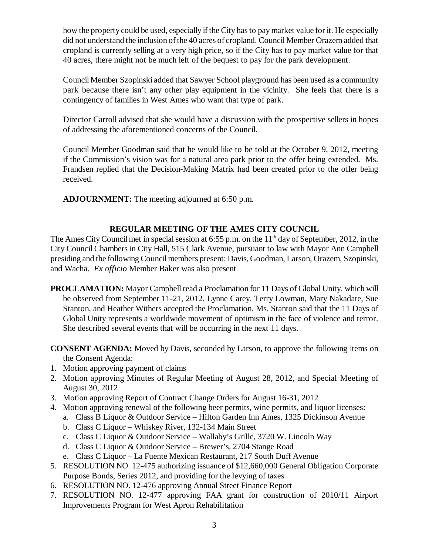how the property could be used, especially if the City has to pay market value for it. He especially did not understand the inclusion of the 40 acres of cropland. Council Member Orazem added that cropland is currently selling at a very high price, so if the City has to pay market value for that 40 acres, there might not be much left of the bequest to pay for the park development.

Council Member Szopinski added that Sawyer School playground has been used as a community park because there isn't any other play equipment in the vicinity. She feels that there is a contingency of families in West Ames who want that type of park.

Director Carroll advised that she would have a discussion with the prospective sellers in hopes of addressing the aforementioned concerns of the Council.

Council Member Goodman said that he would like to be told at the October 9, 2012, meeting if the Commission's vision was for a natural area park prior to the offer being extended. Ms. Frandsen replied that the Decision-Making Matrix had been created prior to the offer being received.

**ADJOURNMENT:** The meeting adjourned at 6:50 p.m.

# **REGULAR MEETING OF THE AMES CITY COUNCIL**

The Ames City Council met in special session at 6:55 p.m. on the  $11<sup>th</sup>$  day of September, 2012, in the City Council Chambers in City Hall, 515 Clark Avenue, pursuant to law with Mayor Ann Campbell presiding and the following Council members present: Davis, Goodman, Larson, Orazem, Szopinski, and Wacha. *Ex officio* Member Baker was also present

**PROCLAMATION:** Mayor Campbell read a Proclamation for 11 Days of Global Unity, which will be observed from September 11-21, 2012. Lynne Carey, Terry Lowman, Mary Nakadate, Sue Stanton, and Heather Withers accepted the Proclamation. Ms. Stanton said that the 11 Days of Global Unity represents a worldwide movement of optimism in the face of violence and terror. She described several events that will be occurring in the next 11 days.

**CONSENT AGENDA:** Moved by Davis, seconded by Larson, to approve the following items on the Consent Agenda:

- 1. Motion approving payment of claims
- 2. Motion approving Minutes of Regular Meeting of August 28, 2012, and Special Meeting of August 30, 2012
- 3. Motion approving Report of Contract Change Orders for August 16-31, 2012
- 4. Motion approving renewal of the following beer permits, wine permits, and liquor licenses:
	- a. Class B Liquor & Outdoor Service Hilton Garden Inn Ames, 1325 Dickinson Avenue
	- b. Class C Liquor Whiskey River, 132-134 Main Street
	- c. Class C Liquor & Outdoor Service Wallaby's Grille, 3720 W. Lincoln Way
	- d. Class C Liquor & Outdoor Service Brewer's, 2704 Stange Road
	- e. Class C Liquor La Fuente Mexican Restaurant, 217 South Duff Avenue
- 5. RESOLUTION NO. 12-475 authorizing issuance of \$12,660,000 General Obligation Corporate Purpose Bonds, Series 2012, and providing for the levying of taxes
- 6. RESOLUTION NO. 12-476 approving Annual Street Finance Report
- 7. RESOLUTION NO. 12-477 approving FAA grant for construction of 2010/11 Airport Improvements Program for West Apron Rehabilitation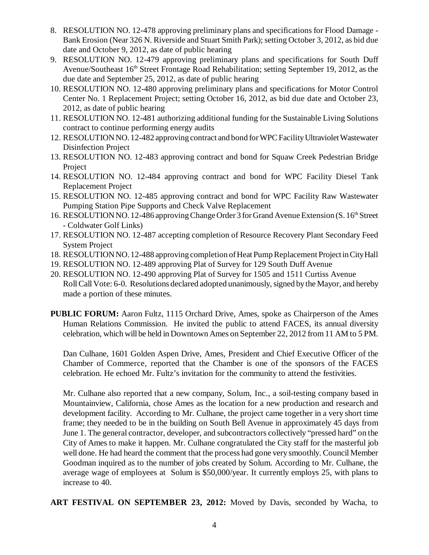- 8. RESOLUTION NO. 12-478 approving preliminary plans and specifications for Flood Damage Bank Erosion (Near 326 N. Riverside and Stuart Smith Park); setting October 3, 2012, as bid due date and October 9, 2012, as date of public hearing
- 9. RESOLUTION NO. 12-479 approving preliminary plans and specifications for South Duff Avenue/Southeast 16<sup>th</sup> Street Frontage Road Rehabilitation; setting September 19, 2012, as the due date and September 25, 2012, as date of public hearing
- 10. RESOLUTION NO. 12-480 approving preliminary plans and specifications for Motor Control Center No. 1 Replacement Project; setting October 16, 2012, as bid due date and October 23, 2012, as date of public hearing
- 11. RESOLUTION NO. 12-481 authorizing additional funding for the Sustainable Living Solutions contract to continue performing energy audits
- 12. RESOLUTION NO. 12-482 approving contract and bond for WPC Facility Ultraviolet Wastewater Disinfection Project
- 13. RESOLUTION NO. 12-483 approving contract and bond for Squaw Creek Pedestrian Bridge **Project**
- 14. RESOLUTION NO. 12-484 approving contract and bond for WPC Facility Diesel Tank Replacement Project
- 15. RESOLUTION NO. 12-485 approving contract and bond for WPC Facility Raw Wastewater Pumping Station Pipe Supports and Check Valve Replacement
- 16. RESOLUTION NO. 12-486 approving Change Order 3 for Grand Avenue Extension (S. 16<sup>th</sup> Street - Coldwater Golf Links)
- 17. RESOLUTION NO. 12-487 accepting completion of Resource Recovery Plant Secondary Feed System Project
- 18. RESOLUTION NO. 12-488 approving completion of Heat Pump Replacement Project in City Hall
- 19. RESOLUTION NO. 12-489 approving Plat of Survey for 129 South Duff Avenue
- 20. RESOLUTION NO. 12-490 approving Plat of Survey for 1505 and 1511 Curtiss Avenue Roll Call Vote: 6-0. Resolutions declared adopted unanimously, signed by the Mayor, and hereby made a portion of these minutes.
- **PUBLIC FORUM:** Aaron Fultz, 1115 Orchard Drive, Ames, spoke as Chairperson of the Ames Human Relations Commission. He invited the public to attend FACES, its annual diversity celebration, which will be held in Downtown Ames on September 22, 2012 from 11 AM to 5 PM.

Dan Culhane, 1601 Golden Aspen Drive, Ames, President and Chief Executive Officer of the Chamber of Commerce, reported that the Chamber is one of the sponsors of the FACES celebration. He echoed Mr. Fultz's invitation for the community to attend the festivities.

Mr. Culhane also reported that a new company, Solum, Inc., a soil-testing company based in Mountainview, California, chose Ames as the location for a new production and research and development facility. According to Mr. Culhane, the project came together in a very short time frame; they needed to be in the building on South Bell Avenue in approximately 45 days from June 1. The general contractor, developer, and subcontractors collectively "pressed hard" on the City of Ames to make it happen. Mr. Culhane congratulated the City staff for the masterful job well done. He had heard the comment that the process had gone very smoothly. Council Member Goodman inquired as to the number of jobs created by Solum. According to Mr. Culhane, the average wage of employees at Solum is \$50,000/year. It currently employs 25, with plans to increase to 40.

**ART FESTIVAL ON SEPTEMBER 23, 2012:** Moved by Davis, seconded by Wacha, to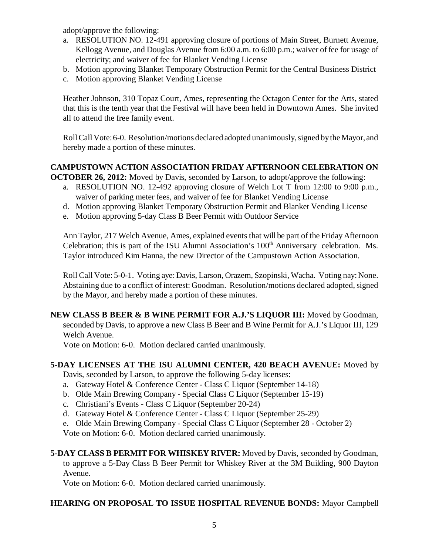adopt/approve the following:

- a. RESOLUTION NO. 12-491 approving closure of portions of Main Street, Burnett Avenue, Kellogg Avenue, and Douglas Avenue from 6:00 a.m. to 6:00 p.m.; waiver of fee for usage of electricity; and waiver of fee for Blanket Vending License
- b. Motion approving Blanket Temporary Obstruction Permit for the Central Business District
- c. Motion approving Blanket Vending License

Heather Johnson, 310 Topaz Court, Ames, representing the Octagon Center for the Arts, stated that this is the tenth year that the Festival will have been held in Downtown Ames. She invited all to attend the free family event.

Roll Call Vote: 6-0. Resolution/motions declared adopted unanimously, signed by the Mayor, and hereby made a portion of these minutes.

#### **CAMPUSTOWN ACTION ASSOCIATION FRIDAY AFTERNOON CELEBRATION ON OCTOBER 26, 2012:** Moved by Davis, seconded by Larson, to adopt/approve the following:

- a. RESOLUTION NO. 12-492 approving closure of Welch Lot T from 12:00 to 9:00 p.m., waiver of parking meter fees, and waiver of fee for Blanket Vending License
- d. Motion approving Blanket Temporary Obstruction Permit and Blanket Vending License
- e. Motion approving 5-day Class B Beer Permit with Outdoor Service

Ann Taylor, 217 Welch Avenue, Ames, explained events that will be part of the Friday Afternoon Celebration; this is part of the ISU Alumni Association's  $100<sup>th</sup>$  Anniversary celebration. Ms. Taylor introduced Kim Hanna, the new Director of the Campustown Action Association.

Roll Call Vote: 5-0-1. Voting aye: Davis, Larson, Orazem, Szopinski, Wacha. Voting nay: None. Abstaining due to a conflict of interest: Goodman. Resolution/motions declared adopted, signed by the Mayor, and hereby made a portion of these minutes.

**NEW CLASS B BEER & B WINE PERMIT FOR A.J.'S LIQUOR III:** Moved by Goodman, seconded by Davis, to approve a new Class B Beer and B Wine Permit for A.J.'s Liquor III, 129 Welch Avenue.

Vote on Motion: 6-0. Motion declared carried unanimously.

# **5-DAY LICENSES AT THE ISU ALUMNI CENTER, 420 BEACH AVENUE:** Moved by

Davis, seconded by Larson, to approve the following 5-day licenses:

- a. Gateway Hotel & Conference Center Class C Liquor (September 14-18)
- b. Olde Main Brewing Company Special Class C Liquor (September 15-19)
- c. Christiani's Events Class C Liquor (September 20-24)
- d. Gateway Hotel & Conference Center Class C Liquor (September 25-29)
- e. Olde Main Brewing Company Special Class C Liquor (September 28 October 2)

Vote on Motion: 6-0. Motion declared carried unanimously.

**5-DAY CLASS B PERMIT FOR WHISKEY RIVER:** Moved by Davis, seconded by Goodman, to approve a 5-Day Class B Beer Permit for Whiskey River at the 3M Building, 900 Dayton Avenue.

Vote on Motion: 6-0. Motion declared carried unanimously.

# **HEARING ON PROPOSAL TO ISSUE HOSPITAL REVENUE BONDS:** Mayor Campbell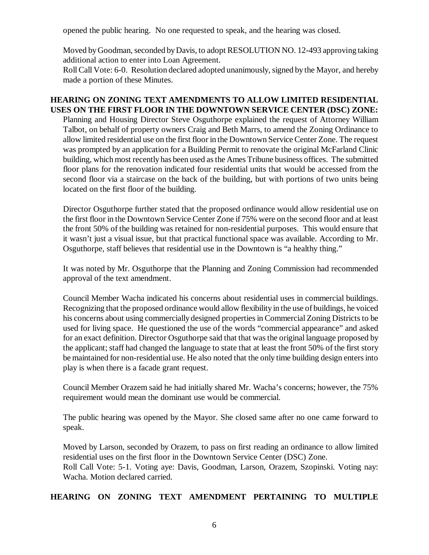opened the public hearing. No one requested to speak, and the hearing was closed.

Moved by Goodman, seconded by Davis, to adopt RESOLUTION NO. 12-493 approving taking additional action to enter into Loan Agreement.

Roll Call Vote: 6-0. Resolution declared adopted unanimously, signed by the Mayor, and hereby made a portion of these Minutes.

## **HEARING ON ZONING TEXT AMENDMENTS TO ALLOW LIMITED RESIDENTIAL USES ON THE FIRST FLOOR IN THE DOWNTOWN SERVICE CENTER (DSC) ZONE:**

Planning and Housing Director Steve Osguthorpe explained the request of Attorney William Talbot, on behalf of property owners Craig and Beth Marrs, to amend the Zoning Ordinance to allow limited residential use on the first floor in the Downtown Service Center Zone. The request was prompted by an application for a Building Permit to renovate the original McFarland Clinic building, which most recently has been used as the Ames Tribune business offices. The submitted floor plans for the renovation indicated four residential units that would be accessed from the second floor via a staircase on the back of the building, but with portions of two units being located on the first floor of the building.

Director Osguthorpe further stated that the proposed ordinance would allow residential use on the first floor in the Downtown Service Center Zone if 75% were on the second floor and at least the front 50% of the building was retained for non-residential purposes. This would ensure that it wasn't just a visual issue, but that practical functional space was available. According to Mr. Osguthorpe, staff believes that residential use in the Downtown is "a healthy thing."

It was noted by Mr. Osguthorpe that the Planning and Zoning Commission had recommended approval of the text amendment.

Council Member Wacha indicated his concerns about residential uses in commercial buildings. Recognizing that the proposed ordinance would allow flexibility in the use of buildings, he voiced his concerns about using commercially designed properties in Commercial Zoning Districts to be used for living space. He questioned the use of the words "commercial appearance" and asked for an exact definition. Director Osguthorpe said that that was the original language proposed by the applicant; staff had changed the language to state that at least the front 50% of the first story be maintained for non-residential use. He also noted that the only time building design enters into play is when there is a facade grant request.

Council Member Orazem said he had initially shared Mr. Wacha's concerns; however, the 75% requirement would mean the dominant use would be commercial.

The public hearing was opened by the Mayor. She closed same after no one came forward to speak.

Moved by Larson, seconded by Orazem, to pass on first reading an ordinance to allow limited residential uses on the first floor in the Downtown Service Center (DSC) Zone. Roll Call Vote: 5-1. Voting aye: Davis, Goodman, Larson, Orazem, Szopinski. Voting nay: Wacha. Motion declared carried.

# **HEARING ON ZONING TEXT AMENDMENT PERTAINING TO MULTIPLE**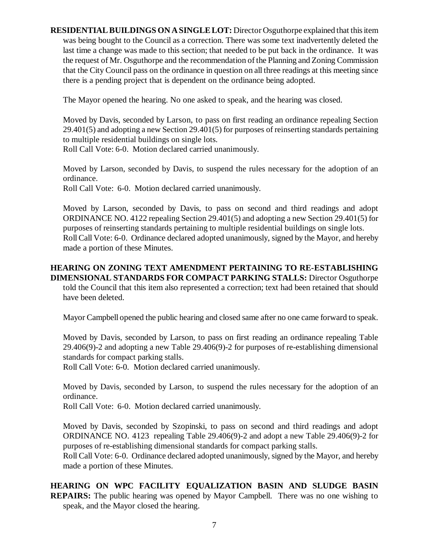**RESIDENTIAL BUILDINGS ON A SINGLE LOT:** Director Osguthorpe explained that this item was being bought to the Council as a correction. There was some text inadvertently deleted the last time a change was made to this section; that needed to be put back in the ordinance. It was the request of Mr. Osguthorpe and the recommendation of the Planning and Zoning Commission that the City Council pass on the ordinance in question on all three readings at this meeting since there is a pending project that is dependent on the ordinance being adopted.

The Mayor opened the hearing. No one asked to speak, and the hearing was closed.

Moved by Davis, seconded by Larson, to pass on first reading an ordinance repealing Section 29.401(5) and adopting a new Section 29.401(5) for purposes of reinserting standards pertaining to multiple residential buildings on single lots.

Roll Call Vote: 6-0. Motion declared carried unanimously.

Moved by Larson, seconded by Davis, to suspend the rules necessary for the adoption of an ordinance.

Roll Call Vote: 6-0. Motion declared carried unanimously.

Moved by Larson, seconded by Davis, to pass on second and third readings and adopt ORDINANCE NO. 4122 repealing Section 29.401(5) and adopting a new Section 29.401(5) for purposes of reinserting standards pertaining to multiple residential buildings on single lots. Roll Call Vote: 6-0. Ordinance declared adopted unanimously, signed by the Mayor, and hereby made a portion of these Minutes.

## **HEARING ON ZONING TEXT AMENDMENT PERTAINING TO RE-ESTABLISHING DIMENSIONAL STANDARDS FOR COMPACT PARKING STALLS:** Director Osguthorpe told the Council that this item also represented a correction; text had been retained that should have been deleted.

Mayor Campbell opened the public hearing and closed same after no one came forward to speak.

Moved by Davis, seconded by Larson, to pass on first reading an ordinance repealing Table 29.406(9)-2 and adopting a new Table 29.406(9)-2 for purposes of re-establishing dimensional standards for compact parking stalls.

Roll Call Vote: 6-0. Motion declared carried unanimously.

Moved by Davis, seconded by Larson, to suspend the rules necessary for the adoption of an ordinance.

Roll Call Vote: 6-0. Motion declared carried unanimously.

Moved by Davis, seconded by Szopinski, to pass on second and third readings and adopt ORDINANCE NO. 4123 repealing Table 29.406(9)-2 and adopt a new Table 29.406(9)-2 for purposes of re-establishing dimensional standards for compact parking stalls.

Roll Call Vote: 6-0. Ordinance declared adopted unanimously, signed by the Mayor, and hereby made a portion of these Minutes.

## **HEARING ON WPC FACILITY EQUALIZATION BASIN AND SLUDGE BASIN REPAIRS:** The public hearing was opened by Mayor Campbell. There was no one wishing to speak, and the Mayor closed the hearing.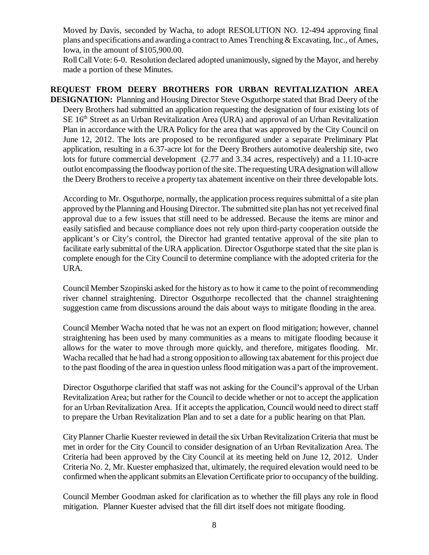Moved by Davis, seconded by Wacha, to adopt RESOLUTION NO. 12-494 approving final plans and specifications and awarding a contract to Ames Trenching & Excavating, Inc., of Ames, Iowa, in the amount of \$105,900.00.

Roll Call Vote: 6-0. Resolution declared adopted unanimously, signed by the Mayor, and hereby made a portion of these Minutes.

**REQUEST FROM DEERY BROTHERS FOR URBAN REVITALIZATION AREA DESIGNATION:** Planning and Housing Director Steve Osguthorpe stated that Brad Deery of the Deery Brothers had submitted an application requesting the designation of four existing lots of  $SE 16<sup>th</sup> Street as an Urban Revitalization Area (URA) and approval of an Urban Revitalization$ Plan in accordance with the URA Policy for the area that was approved by the City Council on June 12, 2012. The lots are proposed to be reconfigured under a separate Preliminary Plat application, resulting in a 6.37-acre lot for the Deery Brothers automotive dealership site, two lots for future commercial development (2.77 and 3.34 acres, respectively) and a 11.10-acre outlot encompassing the floodway portion of the site. The requesting URA designation will allow the Deery Brothers to receive a property tax abatement incentive on their three developable lots.

According to Mr. Osguthorpe, normally, the application process requires submittal of a site plan approved by the Planning and Housing Director. The submitted site plan has not yet received final approval due to a few issues that still need to be addressed. Because the items are minor and easily satisfied and because compliance does not rely upon third-party cooperation outside the applicant's or City's control, the Director had granted tentative approval of the site plan to facilitate early submittal of the URA application. Director Osguthorpe stated that the site plan is complete enough for the City Council to determine compliance with the adopted criteria for the URA.

Council Member Szopinski asked for the history as to how it came to the point of recommending river channel straightening. Director Osguthorpe recollected that the channel straightening suggestion came from discussions around the dais about ways to mitigate flooding in the area.

Council Member Wacha noted that he was not an expert on flood mitigation; however, channel straightening has been used by many communities as a means to mitigate flooding because it allows for the water to move through more quickly, and therefore, mitigates flooding. Mr. Wacha recalled that he had had a strong opposition to allowing tax abatement for this project due to the past flooding of the area in question unless flood mitigation was a part of the improvement.

Director Osguthorpe clarified that staff was not asking for the Council's approval of the Urban Revitalization Area; but rather for the Council to decide whether or not to accept the application for an Urban Revitalization Area. If it accepts the application, Council would need to direct staff to prepare the Urban Revitalization Plan and to set a date for a public hearing on that Plan.

City Planner Charlie Kuester reviewed in detail the six Urban Revitalization Criteria that must be met in order for the City Council to consider designation of an Urban Revitalization Area. The Criteria had been approved by the City Council at its meeting held on June 12, 2012. Under Criteria No. 2, Mr. Kuester emphasized that, ultimately, the required elevation would need to be confirmed when the applicant submits an Elevation Certificate prior to occupancy of the building.

Council Member Goodman asked for clarification as to whether the fill plays any role in flood mitigation. Planner Kuester advised that the fill dirt itself does not mitigate flooding.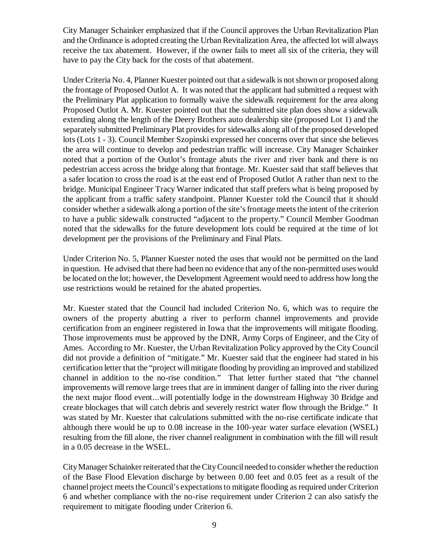City Manager Schainker emphasized that if the Council approves the Urban Revitalization Plan and the Ordinance is adopted creating the Urban Revitalization Area, the affected lot will always receive the tax abatement. However, if the owner fails to meet all six of the criteria, they will have to pay the City back for the costs of that abatement.

Under Criteria No. 4, Planner Kuester pointed out that a sidewalk is not shown or proposed along the frontage of Proposed Outlot A. It was noted that the applicant had submitted a request with the Preliminary Plat application to formally waive the sidewalk requirement for the area along Proposed Outlot A. Mr. Kuester pointed out that the submitted site plan does show a sidewalk extending along the length of the Deery Brothers auto dealership site (proposed Lot 1) and the separately submitted Preliminary Plat provides for sidewalks along all of the proposed developed lots (Lots 1 - 3). Council Member Szopinski expressed her concerns over that since she believes the area will continue to develop and pedestrian traffic will increase. City Manager Schainker noted that a portion of the Outlot's frontage abuts the river and river bank and there is no pedestrian access across the bridge along that frontage. Mr. Kuester said that staff believes that a safer location to cross the road is at the east end of Proposed Outlot A rather than next to the bridge. Municipal Engineer Tracy Warner indicated that staff prefers what is being proposed by the applicant from a traffic safety standpoint. Planner Kuester told the Council that it should consider whether a sidewalk along a portion of the site's frontage meets the intent of the criterion to have a public sidewalk constructed "adjacent to the property." Council Member Goodman noted that the sidewalks for the future development lots could be required at the time of lot development per the provisions of the Preliminary and Final Plats.

Under Criterion No. 5, Planner Kuester noted the uses that would not be permitted on the land in question. He advised that there had been no evidence that any of the non-permitted uses would be located on the lot; however, the Development Agreement would need to address how long the use restrictions would be retained for the abated properties.

Mr. Kuester stated that the Council had included Criterion No. 6, which was to require the owners of the property abutting a river to perform channel improvements and provide certification from an engineer registered in Iowa that the improvements will mitigate flooding. Those improvements must be approved by the DNR, Army Corps of Engineer, and the City of Ames. According to Mr. Kuester, the Urban Revitalization Policy approved by the City Council did not provide a definition of "mitigate." Mr. Kuester said that the engineer had stated in his certification letter that the "project will mitigate flooding by providing an improved and stabilized channel in addition to the no-rise condition." That letter further stated that "the channel improvements will remove large trees that are in imminent danger of falling into the river during the next major flood event...will potentially lodge in the downstream Highway 30 Bridge and create blockages that will catch debris and severely restrict water flow through the Bridge." It was stated by Mr. Kuester that calculations submitted with the no-rise certificate indicate that although there would be up to 0.08 increase in the 100-year water surface elevation (WSEL) resulting from the fill alone, the river channel realignment in combination with the fill will result in a 0.05 decrease in the WSEL.

City Manager Schainker reiterated that the City Council needed to consider whether the reduction of the Base Flood Elevation discharge by between 0.00 feet and 0.05 feet as a result of the channel project meets the Council's expectations to mitigate flooding as required under Criterion 6 and whether compliance with the no-rise requirement under Criterion 2 can also satisfy the requirement to mitigate flooding under Criterion 6.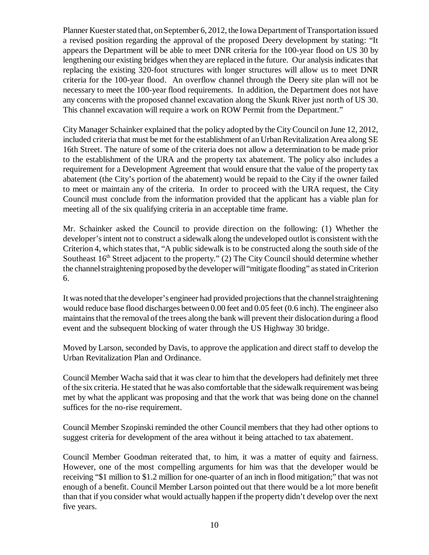Planner Kuester stated that, on September 6, 2012, the Iowa Department of Transportation issued a revised position regarding the approval of the proposed Deery development by stating: "It appears the Department will be able to meet DNR criteria for the 100-year flood on US 30 by lengthening our existing bridges when they are replaced in the future. Our analysis indicates that replacing the existing 320-foot structures with longer structures will allow us to meet DNR criteria for the 100-year flood. An overflow channel through the Deery site plan will not be necessary to meet the 100-year flood requirements. In addition, the Department does not have any concerns with the proposed channel excavation along the Skunk River just north of US 30. This channel excavation will require a work on ROW Permit from the Department."

City Manager Schainker explained that the policy adopted by the City Council on June 12, 2012, included criteria that must be met for the establishment of an Urban Revitalization Area along SE 16th Street. The nature of some of the criteria does not allow a determination to be made prior to the establishment of the URA and the property tax abatement. The policy also includes a requirement for a Development Agreement that would ensure that the value of the property tax abatement (the City's portion of the abatement) would be repaid to the City if the owner failed to meet or maintain any of the criteria. In order to proceed with the URA request, the City Council must conclude from the information provided that the applicant has a viable plan for meeting all of the six qualifying criteria in an acceptable time frame.

Mr. Schainker asked the Council to provide direction on the following: (1) Whether the developer's intent not to construct a sidewalk along the undeveloped outlot is consistent with the Criterion 4, which states that, "A public sidewalk is to be constructed along the south side of the Southeast  $16<sup>th</sup>$  Street adjacent to the property." (2) The City Council should determine whether the channel straightening proposed by the developer will "mitigate flooding" as stated in Criterion 6.

It was noted that the developer's engineer had provided projections that the channel straightening would reduce base flood discharges between 0.00 feet and 0.05 feet (0.6 inch). The engineer also maintains that the removal of the trees along the bank will prevent their dislocation during a flood event and the subsequent blocking of water through the US Highway 30 bridge.

Moved by Larson, seconded by Davis, to approve the application and direct staff to develop the Urban Revitalization Plan and Ordinance.

Council Member Wacha said that it was clear to him that the developers had definitely met three of the six criteria. He stated that he was also comfortable that the sidewalk requirement was being met by what the applicant was proposing and that the work that was being done on the channel suffices for the no-rise requirement.

Council Member Szopinski reminded the other Council members that they had other options to suggest criteria for development of the area without it being attached to tax abatement.

Council Member Goodman reiterated that, to him, it was a matter of equity and fairness. However, one of the most compelling arguments for him was that the developer would be receiving "\$1 million to \$1.2 million for one-quarter of an inch in flood mitigation;" that was not enough of a benefit. Council Member Larson pointed out that there would be a lot more benefit than that if you consider what would actually happen if the property didn't develop over the next five years.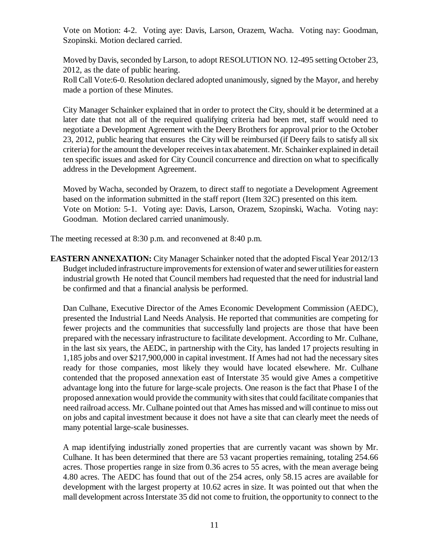Vote on Motion: 4-2. Voting aye: Davis, Larson, Orazem, Wacha. Voting nay: Goodman, Szopinski. Motion declared carried.

Moved by Davis, seconded by Larson, to adopt RESOLUTION NO. 12-495 setting October 23, 2012, as the date of public hearing.

Roll Call Vote:6-0. Resolution declared adopted unanimously, signed by the Mayor, and hereby made a portion of these Minutes.

City Manager Schainker explained that in order to protect the City, should it be determined at a later date that not all of the required qualifying criteria had been met, staff would need to negotiate a Development Agreement with the Deery Brothers for approval prior to the October 23, 2012, public hearing that ensures the City will be reimbursed (if Deery fails to satisfy all six criteria) for the amount the developer receives in tax abatement. Mr. Schainker explained in detail ten specific issues and asked for City Council concurrence and direction on what to specifically address in the Development Agreement.

Moved by Wacha, seconded by Orazem, to direct staff to negotiate a Development Agreement based on the information submitted in the staff report (Item 32C) presented on this item. Vote on Motion: 5-1. Voting aye: Davis, Larson, Orazem, Szopinski, Wacha. Voting nay: Goodman. Motion declared carried unanimously.

The meeting recessed at 8:30 p.m. and reconvened at 8:40 p.m.

**EASTERN ANNEXATION:** City Manager Schainker noted that the adopted Fiscal Year 2012/13 Budget included infrastructure improvements for extension of water and sewer utilities for eastern industrial growth He noted that Council members had requested that the need for industrial land be confirmed and that a financial analysis be performed.

Dan Culhane, Executive Director of the Ames Economic Development Commission (AEDC), presented the Industrial Land Needs Analysis. He reported that communities are competing for fewer projects and the communities that successfully land projects are those that have been prepared with the necessary infrastructure to facilitate development. According to Mr. Culhane, in the last six years, the AEDC, in partnership with the City, has landed 17 projects resulting in 1,185 jobs and over \$217,900,000 in capital investment. If Ames had not had the necessary sites ready for those companies, most likely they would have located elsewhere. Mr. Culhane contended that the proposed annexation east of Interstate 35 would give Ames a competitive advantage long into the future for large-scale projects. One reason is the fact that Phase I of the proposed annexation would provide the community with sites that could facilitate companies that need railroad access. Mr. Culhane pointed out that Ames has missed and will continue to miss out on jobs and capital investment because it does not have a site that can clearly meet the needs of many potential large-scale businesses.

A map identifying industrially zoned properties that are currently vacant was shown by Mr. Culhane. It has been determined that there are 53 vacant properties remaining, totaling 254.66 acres. Those properties range in size from 0.36 acres to 55 acres, with the mean average being 4.80 acres. The AEDC has found that out of the 254 acres, only 58.15 acres are available for development with the largest property at 10.62 acres in size. It was pointed out that when the mall development across Interstate 35 did not come to fruition, the opportunity to connect to the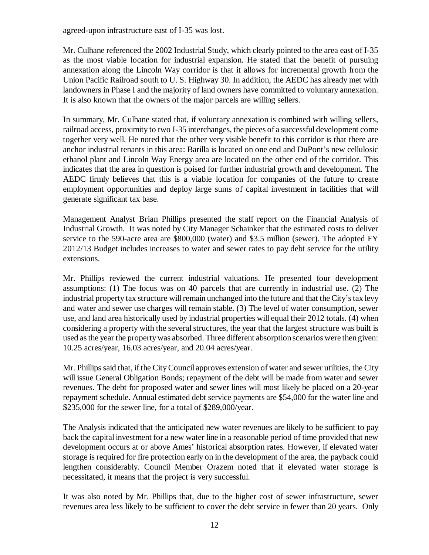agreed-upon infrastructure east of I-35 was lost.

Mr. Culhane referenced the 2002 Industrial Study, which clearly pointed to the area east of I-35 as the most viable location for industrial expansion. He stated that the benefit of pursuing annexation along the Lincoln Way corridor is that it allows for incremental growth from the Union Pacific Railroad south to U. S. Highway 30. In addition, the AEDC has already met with landowners in Phase I and the majority of land owners have committed to voluntary annexation. It is also known that the owners of the major parcels are willing sellers.

In summary, Mr. Culhane stated that, if voluntary annexation is combined with willing sellers, railroad access, proximity to two I-35 interchanges, the pieces of a successful development come together very well. He noted that the other very visible benefit to this corridor is that there are anchor industrial tenants in this area: Barilla is located on one end and DuPont's new cellulosic ethanol plant and Lincoln Way Energy area are located on the other end of the corridor. This indicates that the area in question is poised for further industrial growth and development. The AEDC firmly believes that this is a viable location for companies of the future to create employment opportunities and deploy large sums of capital investment in facilities that will generate significant tax base.

Management Analyst Brian Phillips presented the staff report on the Financial Analysis of Industrial Growth. It was noted by City Manager Schainker that the estimated costs to deliver service to the 590-acre area are \$800,000 (water) and \$3.5 million (sewer). The adopted FY 2012/13 Budget includes increases to water and sewer rates to pay debt service for the utility extensions.

Mr. Phillips reviewed the current industrial valuations. He presented four development assumptions: (1) The focus was on 40 parcels that are currently in industrial use. (2) The industrial property tax structure will remain unchanged into the future and that the City's tax levy and water and sewer use charges will remain stable. (3) The level of water consumption, sewer use, and land area historically used by industrial properties will equal their 2012 totals. (4) when considering a property with the several structures, the year that the largest structure was built is used as the year the property was absorbed. Three different absorption scenarios were then given: 10.25 acres/year, 16.03 acres/year, and 20.04 acres/year.

Mr. Phillips said that, if the City Council approves extension of water and sewer utilities, the City will issue General Obligation Bonds; repayment of the debt will be made from water and sewer revenues. The debt for proposed water and sewer lines will most likely be placed on a 20-year repayment schedule. Annual estimated debt service payments are \$54,000 for the water line and \$235,000 for the sewer line, for a total of \$289,000/year.

The Analysis indicated that the anticipated new water revenues are likely to be sufficient to pay back the capital investment for a new water line in a reasonable period of time provided that new development occurs at or above Ames' historical absorption rates. However, if elevated water storage is required for fire protection early on in the development of the area, the payback could lengthen considerably. Council Member Orazem noted that if elevated water storage is necessitated, it means that the project is very successful.

It was also noted by Mr. Phillips that, due to the higher cost of sewer infrastructure, sewer revenues area less likely to be sufficient to cover the debt service in fewer than 20 years. Only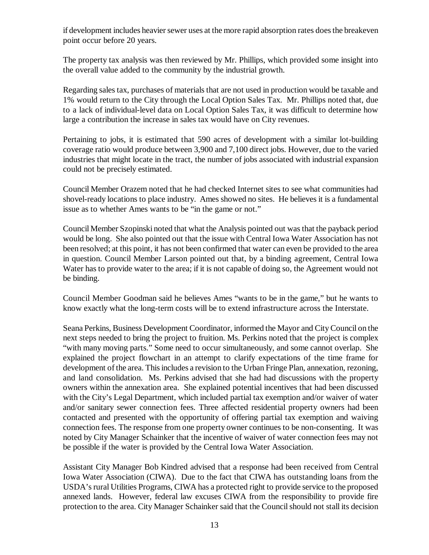if development includes heavier sewer uses at the more rapid absorption rates does the breakeven point occur before 20 years.

The property tax analysis was then reviewed by Mr. Phillips, which provided some insight into the overall value added to the community by the industrial growth.

Regarding sales tax, purchases of materials that are not used in production would be taxable and 1% would return to the City through the Local Option Sales Tax. Mr. Phillips noted that, due to a lack of individual-level data on Local Option Sales Tax, it was difficult to determine how large a contribution the increase in sales tax would have on City revenues.

Pertaining to jobs, it is estimated that 590 acres of development with a similar lot-building coverage ratio would produce between 3,900 and 7,100 direct jobs. However, due to the varied industries that might locate in the tract, the number of jobs associated with industrial expansion could not be precisely estimated.

Council Member Orazem noted that he had checked Internet sites to see what communities had shovel-ready locations to place industry. Ames showed no sites. He believes it is a fundamental issue as to whether Ames wants to be "in the game or not."

Council Member Szopinski noted that what the Analysis pointed out was that the payback period would be long. She also pointed out that the issue with Central Iowa Water Association has not been resolved; at this point, it has not been confirmed that water can even be provided to the area in question. Council Member Larson pointed out that, by a binding agreement, Central Iowa Water has to provide water to the area; if it is not capable of doing so, the Agreement would not be binding.

Council Member Goodman said he believes Ames "wants to be in the game," but he wants to know exactly what the long-term costs will be to extend infrastructure across the Interstate.

Seana Perkins, Business Development Coordinator, informed the Mayor and City Council on the next steps needed to bring the project to fruition. Ms. Perkins noted that the project is complex "with many moving parts." Some need to occur simultaneously, and some cannot overlap. She explained the project flowchart in an attempt to clarify expectations of the time frame for development of the area. This includes a revision to the Urban Fringe Plan, annexation, rezoning, and land consolidation. Ms. Perkins advised that she had had discussions with the property owners within the annexation area. She explained potential incentives that had been discussed with the City's Legal Department, which included partial tax exemption and/or waiver of water and/or sanitary sewer connection fees. Three affected residential property owners had been contacted and presented with the opportunity of offering partial tax exemption and waiving connection fees. The response from one property owner continues to be non-consenting. It was noted by City Manager Schainker that the incentive of waiver of water connection fees may not be possible if the water is provided by the Central Iowa Water Association.

Assistant City Manager Bob Kindred advised that a response had been received from Central Iowa Water Association (CIWA). Due to the fact that CIWA has outstanding loans from the USDA's rural Utilities Programs, CIWA has a protected right to provide service to the proposed annexed lands. However, federal law excuses CIWA from the responsibility to provide fire protection to the area. City Manager Schainker said that the Council should not stall its decision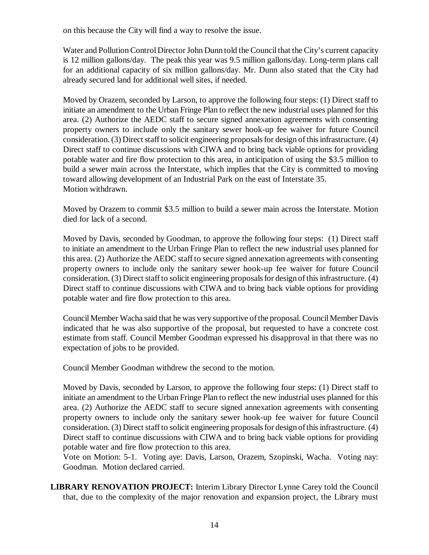on this because the City will find a way to resolve the issue.

Water and Pollution Control Director John Dunn told the Council that the City's current capacity is 12 million gallons/day. The peak this year was 9.5 million gallons/day. Long-term plans call for an additional capacity of six million gallons/day. Mr. Dunn also stated that the City had already secured land for additional well sites, if needed.

Moved by Orazem, seconded by Larson, to approve the following four steps: (1) Direct staff to initiate an amendment to the Urban Fringe Plan to reflect the new industrial uses planned for this area. (2) Authorize the AEDC staff to secure signed annexation agreements with consenting property owners to include only the sanitary sewer hook-up fee waiver for future Council consideration. (3) Direct staff to solicit engineering proposals for design of this infrastructure. (4) Direct staff to continue discussions with CIWA and to bring back viable options for providing potable water and fire flow protection to this area, in anticipation of using the \$3.5 million to build a sewer main across the Interstate, which implies that the City is committed to moving toward allowing development of an Industrial Park on the east of Interstate 35. Motion withdrawn.

Moved by Orazem to commit \$3.5 million to build a sewer main across the Interstate. Motion died for lack of a second.

Moved by Davis, seconded by Goodman, to approve the following four steps: (1) Direct staff to initiate an amendment to the Urban Fringe Plan to reflect the new industrial uses planned for this area. (2) Authorize the AEDC staff to secure signed annexation agreements with consenting property owners to include only the sanitary sewer hook-up fee waiver for future Council consideration. (3) Direct staff to solicit engineering proposals for design of this infrastructure. (4) Direct staff to continue discussions with CIWA and to bring back viable options for providing potable water and fire flow protection to this area.

Council Member Wacha said that he was very supportive of the proposal. Council Member Davis indicated that he was also supportive of the proposal, but requested to have a concrete cost estimate from staff. Council Member Goodman expressed his disapproval in that there was no expectation of jobs to be provided.

Council Member Goodman withdrew the second to the motion.

Moved by Davis, seconded by Larson, to approve the following four steps: (1) Direct staff to initiate an amendment to the Urban Fringe Plan to reflect the new industrial uses planned for this area. (2) Authorize the AEDC staff to secure signed annexation agreements with consenting property owners to include only the sanitary sewer hook-up fee waiver for future Council consideration. (3) Direct staff to solicit engineering proposals for design of this infrastructure. (4) Direct staff to continue discussions with CIWA and to bring back viable options for providing potable water and fire flow protection to this area.

Vote on Motion: 5-1. Voting aye: Davis, Larson, Orazem, Szopinski, Wacha. Voting nay: Goodman. Motion declared carried.

**LIBRARY RENOVATION PROJECT:** Interim Library Director Lynne Carey told the Council that, due to the complexity of the major renovation and expansion project, the Library must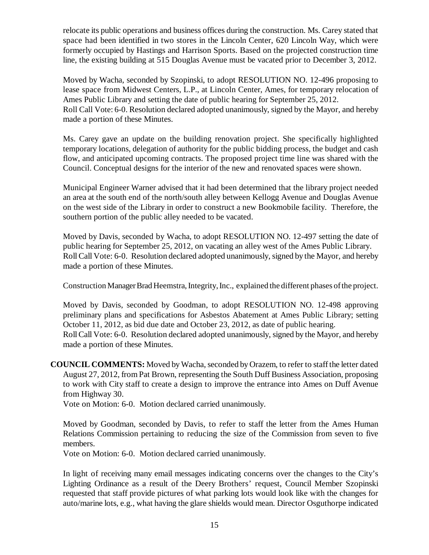relocate its public operations and business offices during the construction. Ms. Carey stated that space had been identified in two stores in the Lincoln Center, 620 Lincoln Way, which were formerly occupied by Hastings and Harrison Sports. Based on the projected construction time line, the existing building at 515 Douglas Avenue must be vacated prior to December 3, 2012.

Moved by Wacha, seconded by Szopinski, to adopt RESOLUTION NO. 12-496 proposing to lease space from Midwest Centers, L.P., at Lincoln Center, Ames, for temporary relocation of Ames Public Library and setting the date of public hearing for September 25, 2012. Roll Call Vote: 6-0. Resolution declared adopted unanimously, signed by the Mayor, and hereby made a portion of these Minutes.

Ms. Carey gave an update on the building renovation project. She specifically highlighted temporary locations, delegation of authority for the public bidding process, the budget and cash flow, and anticipated upcoming contracts. The proposed project time line was shared with the Council. Conceptual designs for the interior of the new and renovated spaces were shown.

Municipal Engineer Warner advised that it had been determined that the library project needed an area at the south end of the north/south alley between Kellogg Avenue and Douglas Avenue on the west side of the Library in order to construct a new Bookmobile facility. Therefore, the southern portion of the public alley needed to be vacated.

Moved by Davis, seconded by Wacha, to adopt RESOLUTION NO. 12-497 setting the date of public hearing for September 25, 2012, on vacating an alley west of the Ames Public Library. Roll Call Vote: 6-0. Resolution declared adopted unanimously, signed by the Mayor, and hereby made a portion of these Minutes.

Construction Manager Brad Heemstra, Integrity, Inc., explained the different phases of the project.

Moved by Davis, seconded by Goodman, to adopt RESOLUTION NO. 12-498 approving preliminary plans and specifications for Asbestos Abatement at Ames Public Library; setting October 11, 2012, as bid due date and October 23, 2012, as date of public hearing. Roll Call Vote: 6-0. Resolution declared adopted unanimously, signed by the Mayor, and hereby made a portion of these Minutes.

**COUNCIL COMMENTS:** Moved by Wacha, seconded by Orazem, to refer to staff the letter dated August 27, 2012, from Pat Brown, representing the South Duff Business Association, proposing to work with City staff to create a design to improve the entrance into Ames on Duff Avenue from Highway 30.

Vote on Motion: 6-0. Motion declared carried unanimously.

Moved by Goodman, seconded by Davis, to refer to staff the letter from the Ames Human Relations Commission pertaining to reducing the size of the Commission from seven to five members.

Vote on Motion: 6-0. Motion declared carried unanimously.

In light of receiving many email messages indicating concerns over the changes to the City's Lighting Ordinance as a result of the Deery Brothers' request, Council Member Szopinski requested that staff provide pictures of what parking lots would look like with the changes for auto/marine lots, e.g., what having the glare shields would mean. Director Osguthorpe indicated